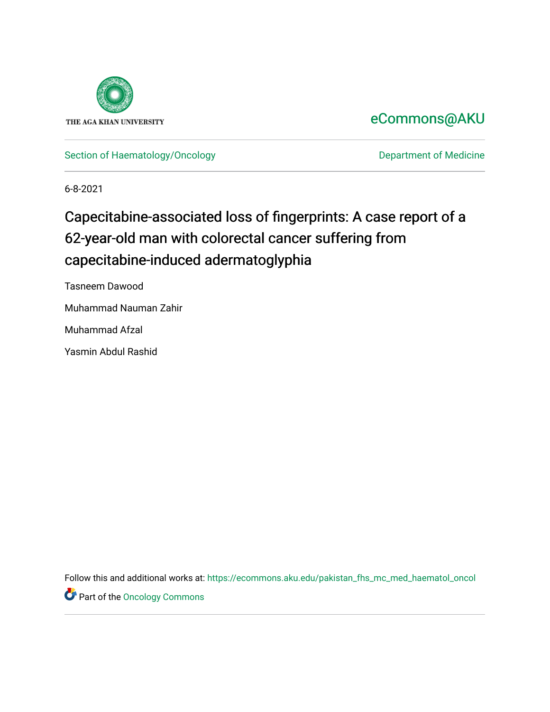

## [eCommons@AKU](https://ecommons.aku.edu/)

[Section of Haematology/Oncology](https://ecommons.aku.edu/pakistan_fhs_mc_med_haematol_oncol) **Department of Medicine** 

6-8-2021

# Capecitabine-associated loss of fingerprints: A case report of a 62-year-old man with colorectal cancer suffering from capecitabine-induced adermatoglyphia

Tasneem Dawood Muhammad Nauman Zahir Muhammad Afzal

Yasmin Abdul Rashid

Follow this and additional works at: [https://ecommons.aku.edu/pakistan\\_fhs\\_mc\\_med\\_haematol\\_oncol](https://ecommons.aku.edu/pakistan_fhs_mc_med_haematol_oncol?utm_source=ecommons.aku.edu%2Fpakistan_fhs_mc_med_haematol_oncol%2F71&utm_medium=PDF&utm_campaign=PDFCoverPages) 

Part of the [Oncology Commons](http://network.bepress.com/hgg/discipline/694?utm_source=ecommons.aku.edu%2Fpakistan_fhs_mc_med_haematol_oncol%2F71&utm_medium=PDF&utm_campaign=PDFCoverPages)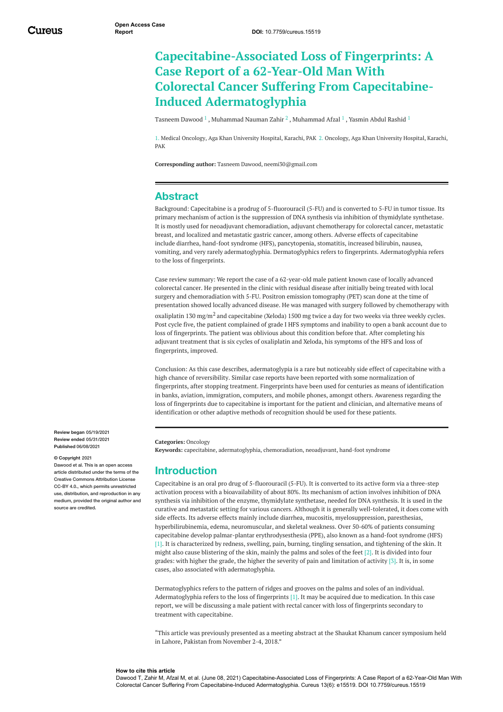## **Capecitabine-Associated Loss of Fingerprints: A Case Report of a 62-Year-Old Man With Colorectal Cancer Suffering From Capecitabine-Induced Adermatoglyphia**

[Tasneem](https://www.cureus.com/users/242362-tasneem-dawood) Dawood  $^1$  , [Muhammad](https://www.cureus.com/users/242884-muhammad-afzal) Nauman Zahir  $^2$  , Muhammad Afzal  $^1$  , [Yasmin](https://www.cureus.com/users/112461-yasmin-rashid) Abdul Rashid  $^1$ 

1. Medical Oncology, Aga Khan University Hospital, Karachi, PAK 2. Oncology, Aga Khan University Hospital, Karachi, PAK

**Corresponding author:** Tasneem Dawood, neemi30@gmail.com

#### **Abstract**

Background: Capecitabine is a prodrug of 5-fluorouracil (5-FU) and is converted to 5-FU in tumor tissue. Its primary mechanism of action is the suppression of DNA synthesis via inhibition of thymidylate synthetase. It is mostly used for neoadjuvant chemoradiation, adjuvant chemotherapy for colorectal cancer, metastatic breast, and localized and metastatic gastric cancer, among others. Adverse effects of capecitabine include diarrhea, hand-foot syndrome (HFS), pancytopenia, stomatitis, increased bilirubin, nausea, vomiting, and very rarely adermatoglyphia. Dermatoglyphics refers to fingerprints. Adermatoglyphia refers to the loss of fingerprints.

Case review summary: We report the case of a 62-year-old male patient known case of locally advanced colorectal cancer. He presented in the clinic with residual disease after initially being treated with local surgery and chemoradiation with 5-FU. Positron emission tomography (PET) scan done at the time of presentation showed locally advanced disease. He was managed with surgery followed by chemotherapy with oxaliplatin 130 mg/m<sup>2</sup> and capecitabine (Xeloda) 1500 mg twice a day for two weeks via three weekly cycles. Post cycle five, the patient complained of grade I HFS symptoms and inability to open a bank account due to loss of fingerprints. The patient was oblivious about this condition before that. After completing his adjuvant treatment that is six cycles of oxaliplatin and Xeloda, his symptoms of the HFS and loss of fingerprints, improved.

Conclusion: As this case describes, adermatoglypia is a rare but noticeably side effect of capecitabine with a high chance of reversibility. Similar case reports have been reported with some normalization of fingerprints, after stopping treatment. Fingerprints have been used for centuries as means of identification in banks, aviation, immigration, computers, and mobile phones, amongst others. Awareness regarding the loss of fingerprints due to capecitabine is important for the patient and clinician, and alternative means of identification or other adaptive methods of recognition should be used for these patients.

**Review began** 05/19/2021 **Review ended** 05/31/2021 **Published** 06/08/2021

#### **© Copyright** 2021

Dawood et al. This is an open access article distributed under the terms of the Creative Commons Attribution License CC-BY 4.0., which permits unrestricted use, distribution, and reproduction in any medium, provided the original author and source are credited

#### **Categories:** Oncology **Keywords:** capecitabine, adermatoglyphia, chemoradiation, neoadjuvant, hand-foot syndrome

#### **Introduction**

Capecitabine is an oral pro drug of 5-fluorouracil (5-FU). It is converted to its active form via a three-step activation process with a bioavailability of about 80%. Its mechanism of action involves inhibition of DNA synthesis via inhibition of the enzyme, thymidylate synthetase, needed for DNA synthesis. It is used in the curative and metastatic setting for various cancers. Although it is generally well-tolerated, it does come with side effects. Its adverse effects mainly include diarrhea, mucositis, myelosuppression, paresthesias, hyperbilirubinemia, edema, neuromuscular, and skeletal weakness. Over 50-60% of patients consuming capecitabine develop palmar-plantar erythrodysesthesia (PPE), also known as a hand-foot syndrome (HFS) [1]. It is characterized by redness, swelling, pain, burning, tingling sensation, and tightening of the skin. It might also cause blistering of the skin, mainly the palms and soles of the feet [2]. It is divided into four grades: with higher the grade, the higher the severity of pain and limitation of activity [3]. It is, in some cases, also associated with adermatoglyphia.

Dermatoglyphics refers to the pattern of ridges and grooves on the palms and soles of an individual. Adermatoglyphia refers to the loss of fingerprints [1]. It may be acquired due to medication. In this case report, we will be discussing a male patient with rectal cancer with loss of fingerprints secondary to treatment with capecitabine.

"This article was previously presented as a meeting abstract at the Shaukat Khanum cancer symposium held in Lahore, Pakistan from November 2-4, 2018."

#### **How to cite this article**

Dawood T, Zahir M, Afzal M, et al. (June 08, 2021) Capecitabine-Associated Loss of Fingerprints: A Case Report of a 62-Year-Old Man With Colorectal Cancer Suffering From Capecitabine-Induced Adermatoglyphia. Cureus 13(6): e15519. DOI 10.7759/cureus.15519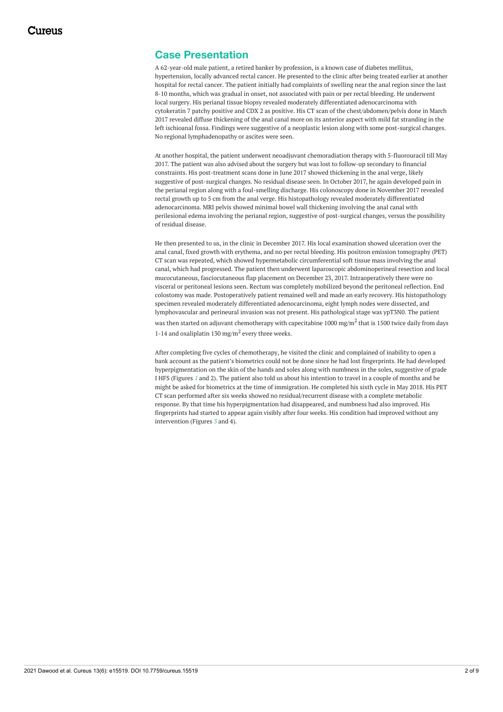### <span id="page-2-0"></span>**Case Presentation**

A 62-year-old male patient, a retired banker by profession, is a known case of diabetes mellitus, hypertension, locally advanced rectal cancer. He presented to the clinic after being treated earlier at another hospital for rectal cancer. The patient initially had complaints of swelling near the anal region since the last 8-10 months, which was gradual in onset, not associated with pain or per rectal bleeding. He underwent local surgery. His perianal tissue biopsy revealed moderately differentiated adenocarcinoma with cytokeratin 7 patchy positive and CDX 2 as positive. His CT scan of the chest/abdomen/pelvis done in March 2017 revealed diffuse thickening of the anal canal more on its anterior aspect with mild fat stranding in the left ischioanal fossa. Findings were suggestive of a neoplastic lesion along with some post-surgical changes. No regional lymphadenopathy or ascites were seen.

At another hospital, the patient underwent neoadjuvant chemoradiation therapy with 5-fluorouracil till May 2017. The patient was also advised about the surgery but was lost to follow-up secondary to financial constraints. His post-treatment scans done in June 2017 showed thickening in the anal verge, likely suggestive of post-surgical changes. No residual disease seen. In October 2017, he again developed pain in the perianal region along with a foul-smelling discharge. His colonoscopy done in November 2017 revealed rectal growth up to 5 cm from the anal verge. His histopathology revealed moderately differentiated adenocarcinoma. MRI pelvis showed minimal bowel wall thickening involving the anal canal with perilesional edema involving the perianal region, suggestive of post-surgical changes, versus the possibility of residual disease.

He then presented to us, in the clinic in December 2017. His local examination showed ulceration over the anal canal, fixed growth with erythema, and no per rectal bleeding. His positron emission tomography (PET) CT scan was repeated, which showed hypermetabolic circumferential soft tissue mass involving the anal canal, which had progressed. The patient then underwent laparoscopic abdominoperineal resection and local mucocutaneous, fasciocutaneous flap placement on December 23, 2017. Intraoperatively there were no visceral or peritoneal lesions seen. Rectum was completely mobilized beyond the peritoneal reflection. End colostomy was made. Postoperatively patient remained well and made an early recovery. His histopathology specimen revealed moderately differentiated adenocarcinoma, eight lymph nodes were dissected, and lymphovascular and perineural invasion was not present. His pathological stage was ypT3N0. The patient was then started on adjuvant chemotherapy with capecitabine  $1000 \text{ mg/m}^2$  that is 1500 twice daily from days 1-14 and oxaliplatin 130 mg/m<sup>2</sup> every three weeks.

After completing five cycles of chemotherapy, he visited the clinic and complained of inability to open a bank account as the patient's biometrics could not be done since he had lost fingerprints. He had developed hyperpigmentation on the skin of the hands and soles along with numbness in the soles, suggestive of grade I HFS (Figures *[1](#page-2-0)* and 2). The patient also told us about his intention to travel in a couple of months and he might be asked for biometrics at the time of immigration. He completed his sixth cycle in May 2018. His PET CT scan performed after six weeks showed no residual/recurrent disease with a complete metabolic response. By that time his hyperpigmentation had disappeared, and numbness had also improved. His fingerprints had started to appear again visibly after four weeks. His condition had improved without any intervention (Figures *[3](#page-4-0)* and 4).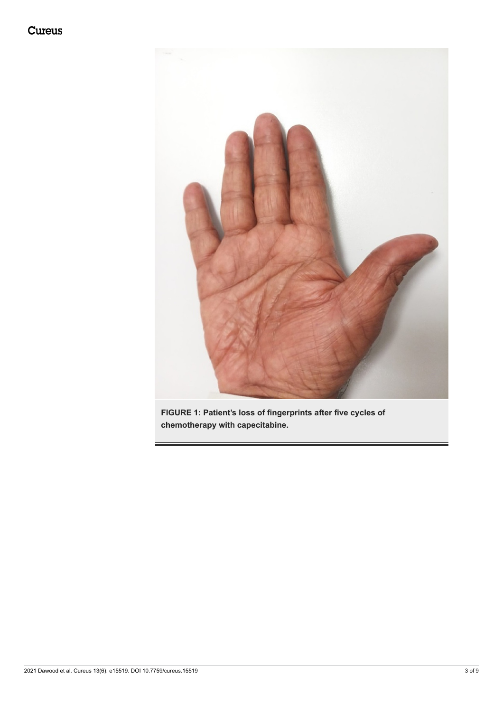

**FIGURE 1: Patient's loss of fingerprints after five cycles of chemotherapy with capecitabine.**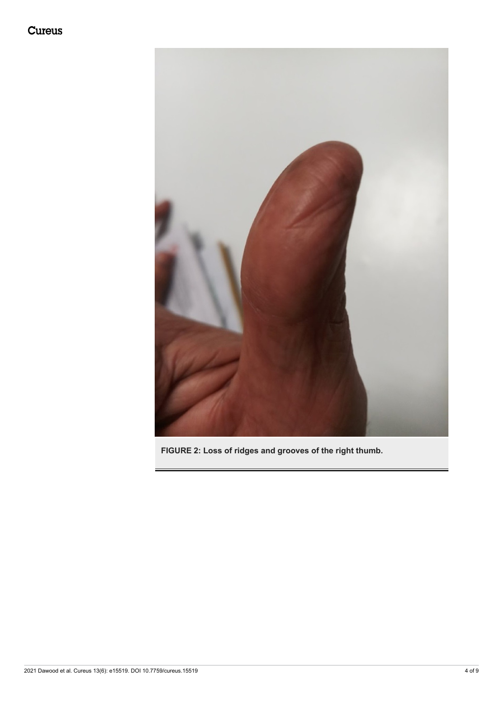<span id="page-4-0"></span>

**FIGURE 2: Loss of ridges and grooves of the right thumb.**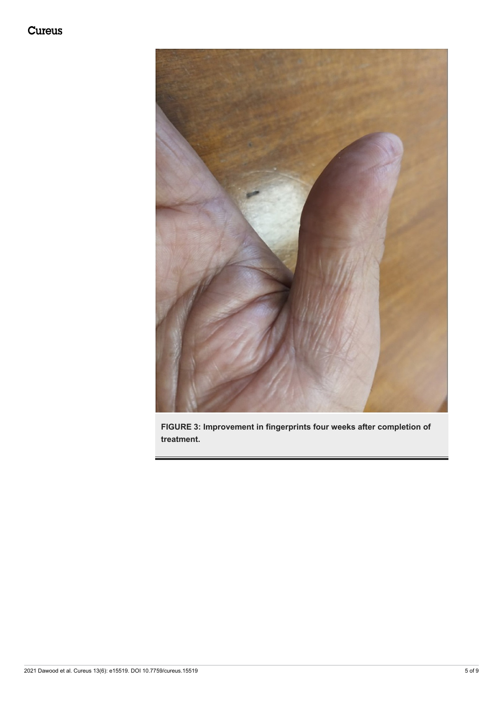

**FIGURE 3: Improvement in fingerprints four weeks after completion of treatment.**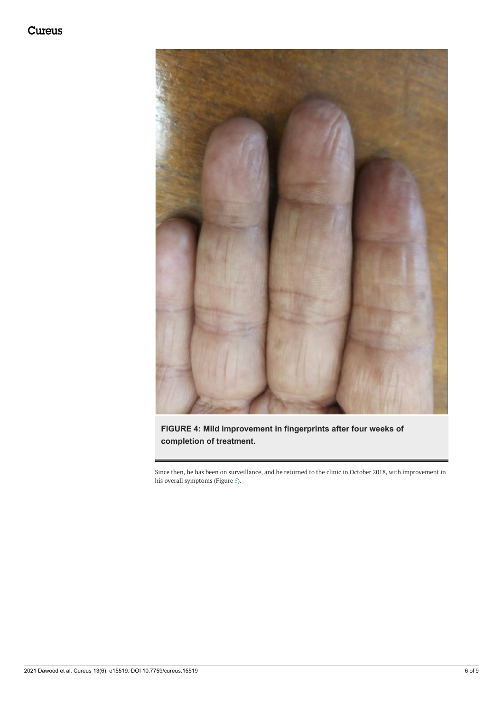## Cureus

<span id="page-6-0"></span>

## **FIGURE 4: Mild improvement in fingerprints after four weeks of completion of treatment.**

Since then, he has been on surveillance, and he returned to the clinic in October 2018, with improvement in his overall symptoms (Figure *[5](#page-6-0)*).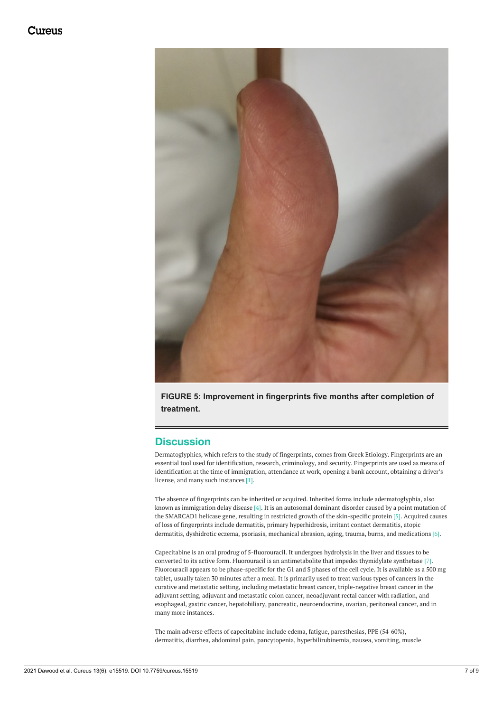

**FIGURE 5: Improvement in fingerprints five months after completion of treatment.**

### **Discussion**

Dermatoglyphics, which refers to the study of fingerprints, comes from Greek Etiology. Fingerprints are an essential tool used for identification, research, criminology, and security. Fingerprints are used as means of identification at the time of immigration, attendance at work, opening a bank account, obtaining a driver's license, and many such instances [1].

The absence of fingerprints can be inherited or acquired. Inherited forms include adermatoglyphia, also known as immigration delay disease [4]. It is an autosomal dominant disorder caused by a point mutation of the SMARCAD1 helicase gene, resulting in restricted growth of the skin-specific protein [5]. Acquired causes of loss of fingerprints include dermatitis, primary hyperhidrosis, irritant contact dermatitis, atopic dermatitis, dyshidrotic eczema, psoriasis, mechanical abrasion, aging, trauma, burns, and medications [6].

Capecitabine is an oral prodrug of 5-fluorouracil. It undergoes hydrolysis in the liver and tissues to be converted to its active form. Fluorouracil is an antimetabolite that impedes thymidylate synthetase [7]. Fluorouracil appears to be phase-specific for the G1 and S phases of the cell cycle. It is available as a 500 mg tablet, usually taken 30 minutes after a meal. It is primarily used to treat various types of cancers in the curative and metastatic setting, including metastatic breast cancer, triple-negative breast cancer in the adjuvant setting, adjuvant and metastatic colon cancer, neoadjuvant rectal cancer with radiation, and esophageal, gastric cancer, hepatobiliary, pancreatic, neuroendocrine, ovarian, peritoneal cancer, and in many more instances.

The main adverse effects of capecitabine include edema, fatigue, paresthesias, PPE (54-60%), dermatitis, diarrhea, abdominal pain, pancytopenia, hyperbilirubinemia, nausea, vomiting, muscle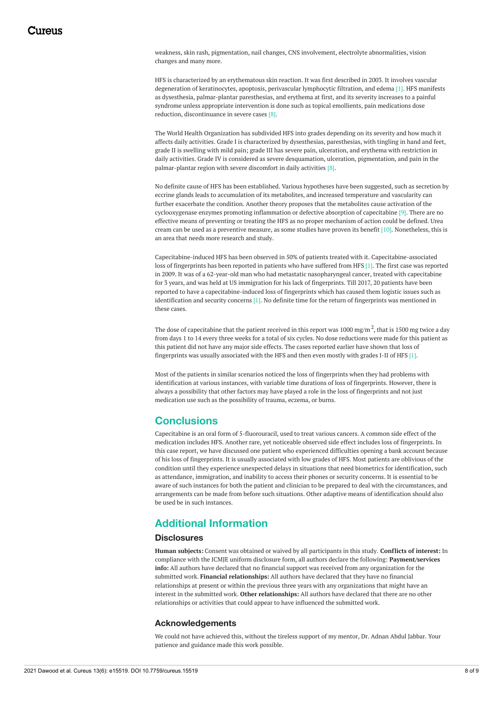weakness, skin rash, pigmentation, nail changes, CNS involvement, electrolyte abnormalities, vision changes and many more.

HFS is characterized by an erythematous skin reaction. It was first described in 2003. It involves vascular degeneration of keratinocytes, apoptosis, perivascular lymphocytic filtration, and edema [1]. HFS manifests as dysesthesia, palmar-plantar paresthesias, and erythema at first, and its severity increases to a painful syndrome unless appropriate intervention is done such as topical emollients, pain medications dose reduction, discontinuance in severe cases [8].

The World Health Organization has subdivided HFS into grades depending on its severity and how much it affects daily activities. Grade I is characterized by dysesthesias, paresthesias, with tingling in hand and feet, grade II is swelling with mild pain; grade III has severe pain, ulceration, and erythema with restriction in daily activities. Grade IV is considered as severe desquamation, ulceration, pigmentation, and pain in the palmar-plantar region with severe discomfort in daily activities [8].

No definite cause of HFS has been established. Various hypotheses have been suggested, such as secretion by eccrine glands leads to accumulation of its metabolites, and increased temperature and vascularity can further exacerbate the condition. Another theory proposes that the metabolites cause activation of the cyclooxygenase enzymes promoting inflammation or defective absorption of capecitabine [9]. There are no effective means of preventing or treating the HFS as no proper mechanism of action could be defined. Urea cream can be used as a preventive measure, as some studies have proven its benefit [10]. Nonetheless, this is an area that needs more research and study.

Capecitabine-induced HFS has been observed in 50% of patients treated with it. Capecitabine-associated loss of fingerprints has been reported in patients who have suffered from HFS [1]. The first case was reported in 2009. It was of a 62-year-old man who had metastatic nasopharyngeal cancer, treated with capecitabine for 3 years, and was held at US immigration for his lack of fingerprints. Till 2017, 20 patients have been reported to have a capecitabine-induced loss of fingerprints which has caused them logistic issues such as identification and security concerns [1]. No definite time for the return of fingerprints was mentioned in these cases.

The dose of capecitabine that the patient received in this report was  $1000$  mg/m  $^2$ , that is 1500 mg twice a day from days 1 to 14 every three weeks for a total of six cycles. No dose reductions were made for this patient as this patient did not have any major side effects. The cases reported earlier have shown that loss of fingerprints was usually associated with the HFS and then even mostly with grades I-II of HFS [1].

Most of the patients in similar scenarios noticed the loss of fingerprints when they had problems with identification at various instances, with variable time durations of loss of fingerprints. However, there is always a possibility that other factors may have played a role in the loss of fingerprints and not just medication use such as the possibility of trauma, eczema, or burns.

#### **Conclusions**

Capecitabine is an oral form of 5-fluorouracil, used to treat various cancers. A common side effect of the medication includes HFS. Another rare, yet noticeable observed side effect includes loss of fingerprints. In this case report, we have discussed one patient who experienced difficulties opening a bank account because of his loss of fingerprints. It is usually associated with low grades of HFS. Most patients are oblivious of the condition until they experience unexpected delays in situations that need biometrics for identification, such as attendance, immigration, and inability to access their phones or security concerns. It is essential to be aware of such instances for both the patient and clinician to be prepared to deal with the circumstances, and arrangements can be made from before such situations. Other adaptive means of identification should also be used be in such instances.

## **Additional Information**

#### **Disclosures**

**Human subjects:** Consent was obtained or waived by all participants in this study. **Conflicts of interest:** In compliance with the ICMJE uniform disclosure form, all authors declare the following: **Payment/services info:** All authors have declared that no financial support was received from any organization for the submitted work. **Financial relationships:** All authors have declared that they have no financial relationships at present or within the previous three years with any organizations that might have an interest in the submitted work. **Other relationships:** All authors have declared that there are no other relationships or activities that could appear to have influenced the submitted work.

#### **Acknowledgements**

We could not have achieved this, without the tireless support of my mentor, Dr. Adnan Abdul Jabbar. Your patience and guidance made this work possible.